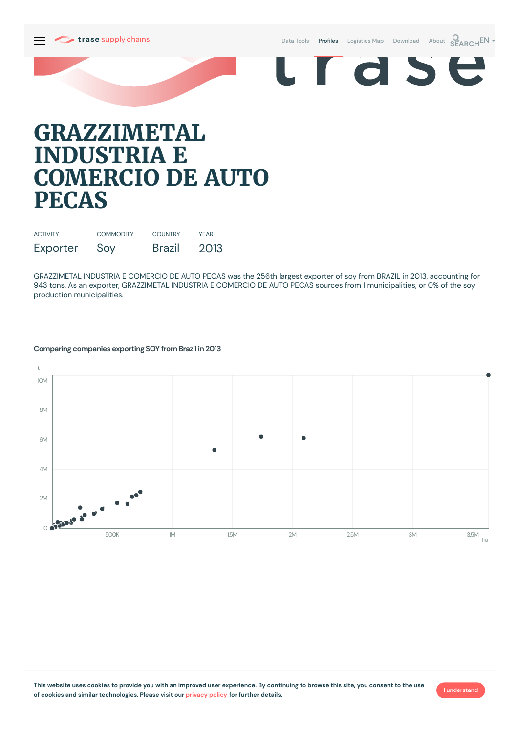



# **GRAZZIMETAL INDUSTRIA E COMERCIO DE AUTO PECAS**

| <b>ACTIVITY</b> | <b>COMMODITY</b> | <b>COUNTRY</b> | <b>YFAR</b> |
|-----------------|------------------|----------------|-------------|
| Exporter        | Soy              | <b>Brazil</b>  | 2013        |

GRAZZIMETAL INDUSTRIA E COMERCIO DE AUTO PECAS was the 256th largest exporter of soy from BRAZIL in 2013, accounting for 943 tons. As an exporter, GRAZZIMETAL INDUSTRIA E COMERCIO DE AUTO PECAS sources from 1 municipalities, or 0% of the soy production municipalities.

### **Comparing companies exporting SOY from Brazil in 2013**